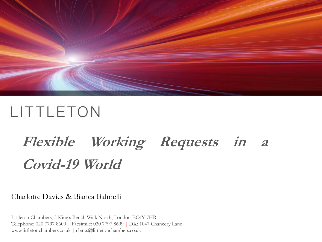

# **Flexible Working Requests in <sup>a</sup> Covid-19 World**

#### Charlotte Davies & Bianca Balmelli

Littleton Chambers, 3 King's Bench Walk North, London EC4Y 7HR Telephone: 020 7797 8600 | Facsimile: 020 7797 8699 | DX: 1047 Chancery Lane www.littletonchambers.co.uk | clerks@littletonchambers.co.uk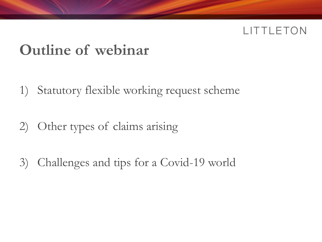## **Outline of webinar**

- 1) Statutory flexible working request scheme
- 2) Other types of claims arising
- 3) Challenges and tips for a Covid-19 world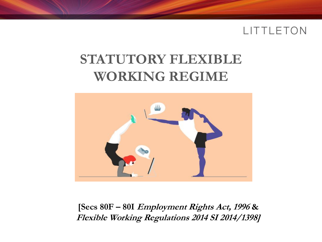### **STATUTORY FLEXIBLE WORKING REGIME**



**[Secs 80F – 80I Employment Rights Act, 1996 & Flexible Working Regulations 2014 SI 2014/1398]**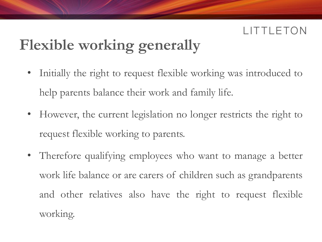## **Flexible working generally**

- Initially the right to request flexible working was introduced to help parents balance their work and family life.
- However, the current legislation no longer restricts the right to request flexible working to parents.
- Therefore qualifying employees who want to manage a better work life balance or are carers of children such as grandparents and other relatives also have the right to request flexible working.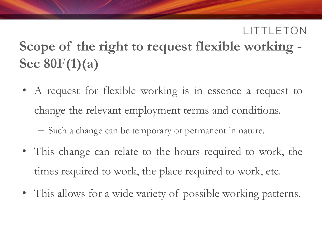## **Scope of the right to request flexible working - Sec 80F(1)(a)**

- A request for flexible working is in essence a request to change the relevant employment terms and conditions.
	- Such a change can be temporary or permanent in nature.
- This change can relate to the hours required to work, the times required to work, the place required to work, etc.
- This allows for a wide variety of possible working patterns.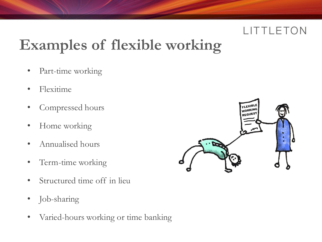# **Examples of flexible working**

- Part-time working
- Flexitime
- Compressed hours
- Home working
- Annualised hours
- Term-time working
- Structured time off in lieu
- Job-sharing
- Varied-hours working or time banking

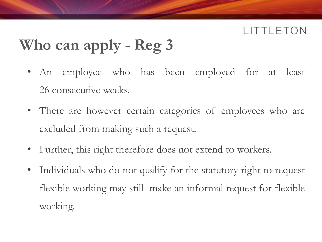## **Who can apply - Reg 3**

- An employee who has been employed for at least 26 consecutive weeks.
- There are however certain categories of employees who are excluded from making such a request.
- Further, this right therefore does not extend to workers.
- Individuals who do not qualify for the statutory right to request flexible working may still make an informal request for flexible working.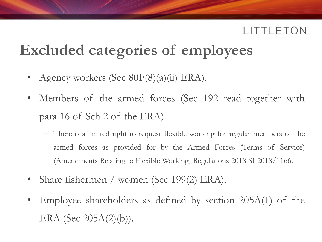## **Excluded categories of employees**

- Agency workers (Sec 80F(8)(a)(ii) ERA).
- Members of the armed forces (Sec 192 read together with para 16 of Sch 2 of the ERA).
	- There is a limited right to request flexible working for regular members of the armed forces as provided for by the Armed Forces (Terms of Service) (Amendments Relating to Flexible Working) Regulations 2018 SI 2018/1166.
- Share fishermen / women (Sec 199(2) ERA).
- Employee shareholders as defined by section 205A(1) of the ERA (Sec  $205A(2)(b)$ ).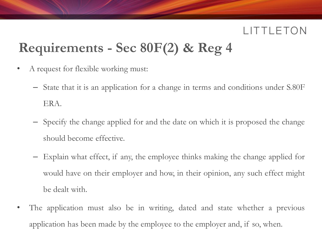## **Requirements - Sec 80F(2) & Reg 4**

- A request for flexible working must:
	- State that it is an application for a change in terms and conditions under S.80F ERA.
	- Specify the change applied for and the date on which it is proposed the change should become effective.
	- Explain what effect, if any, the employee thinks making the change applied for would have on their employer and how, in their opinion, any such effect might be dealt with.
- The application must also be in writing, dated and state whether a previous application has been made by the employee to the employer and, if so, when.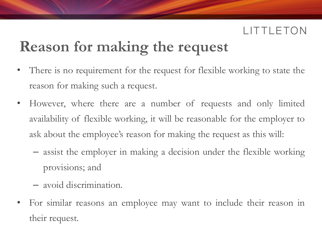## **Reason for making the request**

- There is no requirement for the request for flexible working to state the reason for making such a request.
- However, where there are a number of requests and only limited availability of flexible working, it will be reasonable for the employer to ask about the employee's reason for making the request as this will:
	- assist the employer in making a decision under the flexible working provisions; and
	- avoid discrimination.
- For similar reasons an employee may want to include their reason in their request.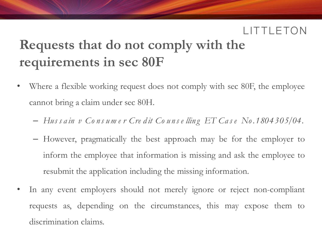## **Requests that do not comply with the requirements in sec 80F**

- Where a flexible working request does not comply with sec 80F, the employee cannot bring a claim under sec 80H.
	- *Hus s a in v Co ns um e r Cre d it Co u ns e llin g ET Ca s e No.1804305/04.*
	- However, pragmatically the best approach may be for the employer to inform the employee that information is missing and ask the employee to resubmit the application including the missing information.
- In any event employers should not merely ignore or reject non-compliant requests as, depending on the circumstances, this may expose them to discrimination claims.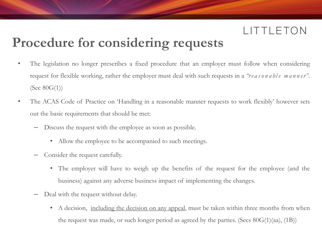### **Procedure for considering requests**

- The legislation no longer prescribes a fixed procedure that an employer must follow when considering request for flexible working, rather the employer must deal with such requests in a *"reasonable manner"*. (Sec 80G(1))
- The ACAS Code of Practice on 'Handling in a reasonable manner requests to work flexibly' however sets out the basic requirements that should be met:
	- Discuss the request with the employee as soon as possible.
		- Allow the employee to be accompanied to such meetings.
	- Consider the request carefully.
		- The employer will have to weigh up the benefits of the request for the employee (and the business) against any adverse business impact of implementing the changes.
	- Deal with the request without delay.
		- A decision, including the decision on any appeal, must be taken within three months from when the request was made, or such longer period as agreed by the parties. (Secs  $80G(1)(aa)$ ,  $(1B)$ )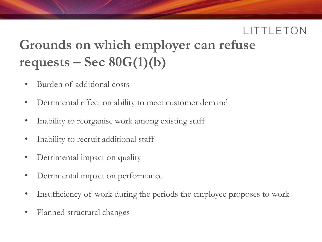## **Grounds on which employer can refuse requests – Sec 80G(1)(b)**

- Burden of additional costs
- Detrimental effect on ability to meet customer demand
- Inability to reorganise work among existing staff
- Inability to recruit additional staff
- Detrimental impact on quality
- Detrimental impact on performance
- Insufficiency of work during the periods the employee proposes to work
- Planned structural changes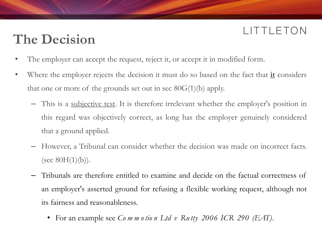### **The Decision**

- The employer can accept the request, reject it, or accept it in modified form.
- Where the employer rejects the decision it must do so based on the fact that **it** considers that one or more of the grounds set out in sec  $80G(1)(b)$  apply.
	- This is a subjective test. It is therefore irrelevant whether the employer's position in this regard was objectively correct, as long has the employer genuinely considered that a ground applied.
	- However, a Tribunal can consider whether the decision was made on incorrect facts. (sec  $80H(1)(b)$ ).
	- Tribunals are therefore entitled to examine and decide on the factual correctness of an employer's asserted ground for refusing a flexible working request, although not its fairness and reasonableness.
		- For an example see *Co m m o tio n Ltd v Ru tty 2006 ICR 290 (EAT)*.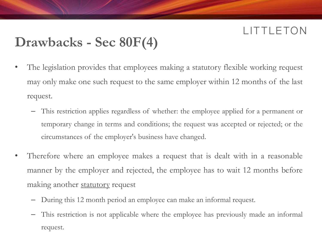### **Drawbacks - Sec 80F(4)**

- The legislation provides that employees making a statutory flexible working request may only make one such request to the same employer within 12 months of the last request.
	- This restriction applies regardless of whether: the employee applied for a permanent or temporary change in terms and conditions; the request was accepted or rejected; or the circumstances of the employer's business have changed.
- Therefore where an employee makes a request that is dealt with in a reasonable manner by the employer and rejected, the employee has to wait 12 months before making another **statutory** request
	- During this 12 month period an employee can make an informal request.
	- This restriction is not applicable where the employee has previously made an informal request.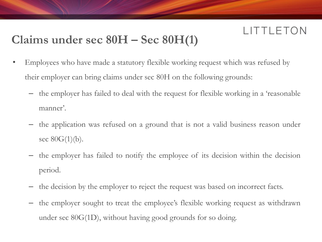### **Claims under sec 80H – Sec 80H(1)**

- Employees who have made a statutory flexible working request which was refused by their employer can bring claims under sec 80H on the following grounds:
	- the employer has failed to deal with the request for flexible working in a 'reasonable manner'.
	- the application was refused on a ground that is not a valid business reason under sec  $80G(1)(b)$ .
	- the employer has failed to notify the employee of its decision within the decision period.
	- the decision by the employer to reject the request was based on incorrect facts.
	- the employer sought to treat the employee's flexible working request as withdrawn under sec 80G(1D), without having good grounds for so doing.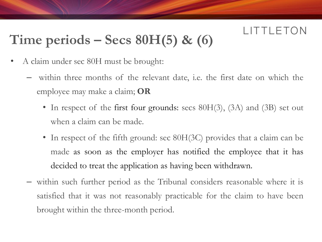## **Time periods – Secs 80H(5) & (6)**

- A claim under sec 80H must be brought:
	- within three months of the relevant date, i.e. the first date on which the employee may make a claim; **OR**
		- In respect of the first four grounds: secs 80H(3), (3A) and (3B) set out when a claim can be made.
		- In respect of the fifth ground: sec 80H(3C) provides that a claim can be made as soon as the employer has notified the employee that it has decided to treat the application as having been withdrawn.
	- within such further period as the Tribunal considers reasonable where it is satisfied that it was not reasonably practicable for the claim to have been brought within the three-month period.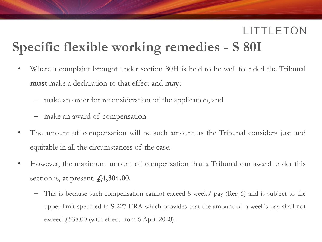### LITTLETON **Specific flexible working remedies - S 80I**

- Where a complaint brought under section 80H is held to be well founded the Tribunal **must** make a declaration to that effect and **may**:
	- make an order for reconsideration of the application, and
	- make an award of compensation.
- The amount of compensation will be such amount as the Tribunal considers just and equitable in all the circumstances of the case.
- However, the maximum amount of compensation that a Tribunal can award under this section is, at present, **£4,304.00.**
	- This is because such compensation cannot exceed 8 weeks' pay (Reg 6) and is subject to the upper limit specified in S 227 ERA which provides that the amount of a week's pay shall not exceed  $\ddagger$ , 538.00 (with effect from 6 April 2020).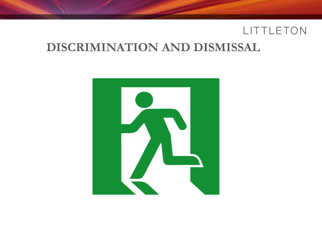#### **DISCRIMINATION AND DISMISSAL**

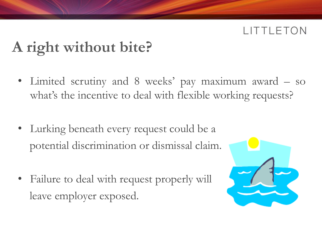### **TTLETON**

## **A right without bite?**

- Limited scrutiny and 8 weeks' pay maximum award so what's the incentive to deal with flexible working requests?
- Lurking beneath every request could be a potential discrimination or dismissal claim.
- Failure to deal with request properly will leave employer exposed.

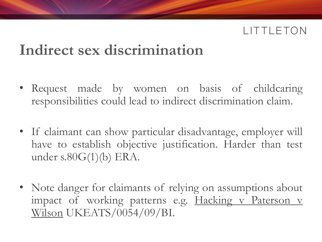## **Indirect sex discrimination**

- Request made by women on basis of childcaring responsibilities could lead to indirect discrimination claim.
- If claimant can show particular disadvantage, employer will have to establish objective justification. Harder than test under s.80G(1)(b) ERA.
- Note danger for claimants of relying on assumptions about impact of working patterns e.g. Hacking v Paterson v Wilson UKEATS/0054/09/BI.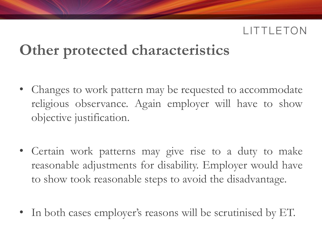## **Other protected characteristics**

- Changes to work pattern may be requested to accommodate religious observance. Again employer will have to show objective justification.
- Certain work patterns may give rise to a duty to make reasonable adjustments for disability. Employer would have to show took reasonable steps to avoid the disadvantage.
- In both cases employer's reasons will be scrutinised by ET.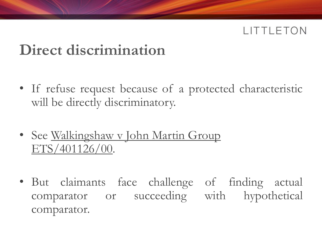## **Direct discrimination**

- If refuse request because of a protected characteristic will be directly discriminatory.
- See Walkingshaw v John Martin Group ETS/401126/00.
- But claimants face challenge of finding actual comparator or succeeding with hypothetical comparator.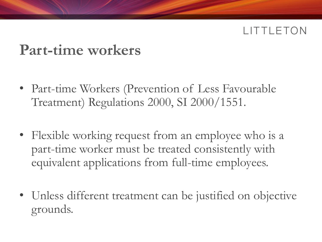### **Part-time workers**

- Part-time Workers (Prevention of Less Favourable Treatment) Regulations 2000, SI 2000/1551.
- Flexible working request from an employee who is a part-time worker must be treated consistently with equivalent applications from full-time employees.
- Unless different treatment can be justified on objective grounds.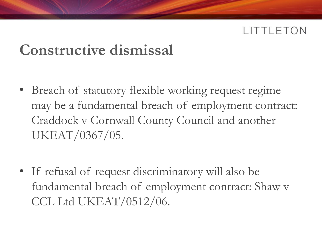## **Constructive dismissal**

- Breach of statutory flexible working request regime may be a fundamental breach of employment contract: Craddock v Cornwall County Council and another UKEAT/0367/05.
- If refusal of request discriminatory will also be fundamental breach of employment contract: Shaw v CCL Ltd UKEAT/0512/06.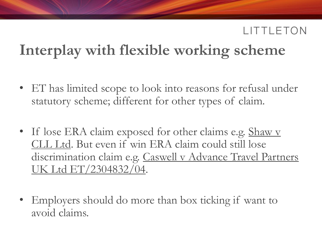## **Interplay with flexible working scheme**

- ET has limited scope to look into reasons for refusal under statutory scheme; different for other types of claim.
- If lose ERA claim exposed for other claims e.g. Shaw v CLL Ltd. But even if win ERA claim could still lose discrimination claim e.g. Caswell v Advance Travel Partners UK Ltd ET/2304832/04.
- Employers should do more than box ticking if want to avoid claims.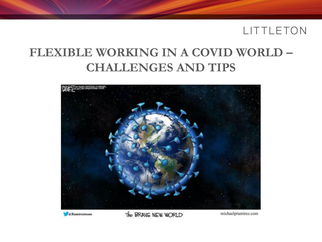### **FLEXIBLE WORKING IN A COVID WORLD – CHALLENGES AND TIPS**



**C**Ramireztoons

The BRANE NEW WORLD

michaelpramirez.com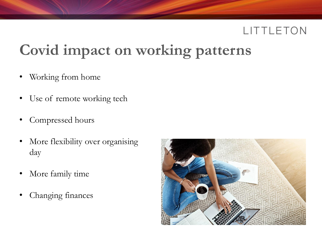## **Covid impact on working patterns**

- Working from home
- Use of remote working tech
- Compressed hours
- More flexibility over organising day
- More family time
- Changing finances

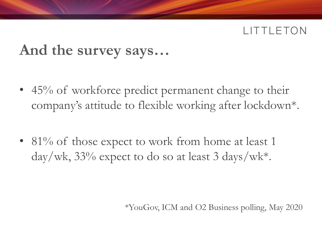### **And the survey says…**

- 45% of workforce predict permanent change to their company's attitude to flexible working after lockdown\*.
- 81% of those expect to work from home at least 1  $day/wk$ , 33% expect to do so at least 3 days/wk<sup>\*</sup>.

\*YouGov, ICM and O2 Business polling, May 2020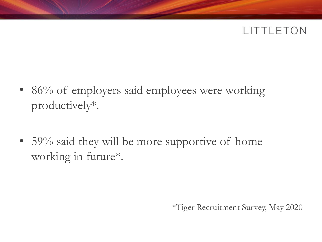- 86% of employers said employees were working productively\*.
- 59% said they will be more supportive of home working in future\*.

\*Tiger Recruitment Survey, May 2020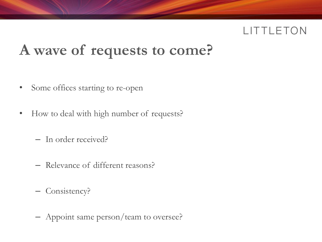## **A wave of requests to come?**

- Some offices starting to re-open
- How to deal with high number of requests?
	- In order received?
	- Relevance of different reasons?
	- Consistency?
	- Appoint same person/team to oversee?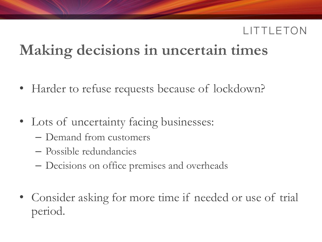## **Making decisions in uncertain times**

- Harder to refuse requests because of lockdown?
- Lots of uncertainty facing businesses:
	- Demand from customers
	- Possible redundancies
	- Decisions on office premises and overheads
- Consider asking for more time if needed or use of trial period.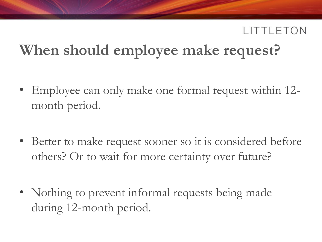## **When should employee make request?**

- Employee can only make one formal request within 12month period.
- Better to make request sooner so it is considered before others? Or to wait for more certainty over future?
- Nothing to prevent informal requests being made during 12-month period.